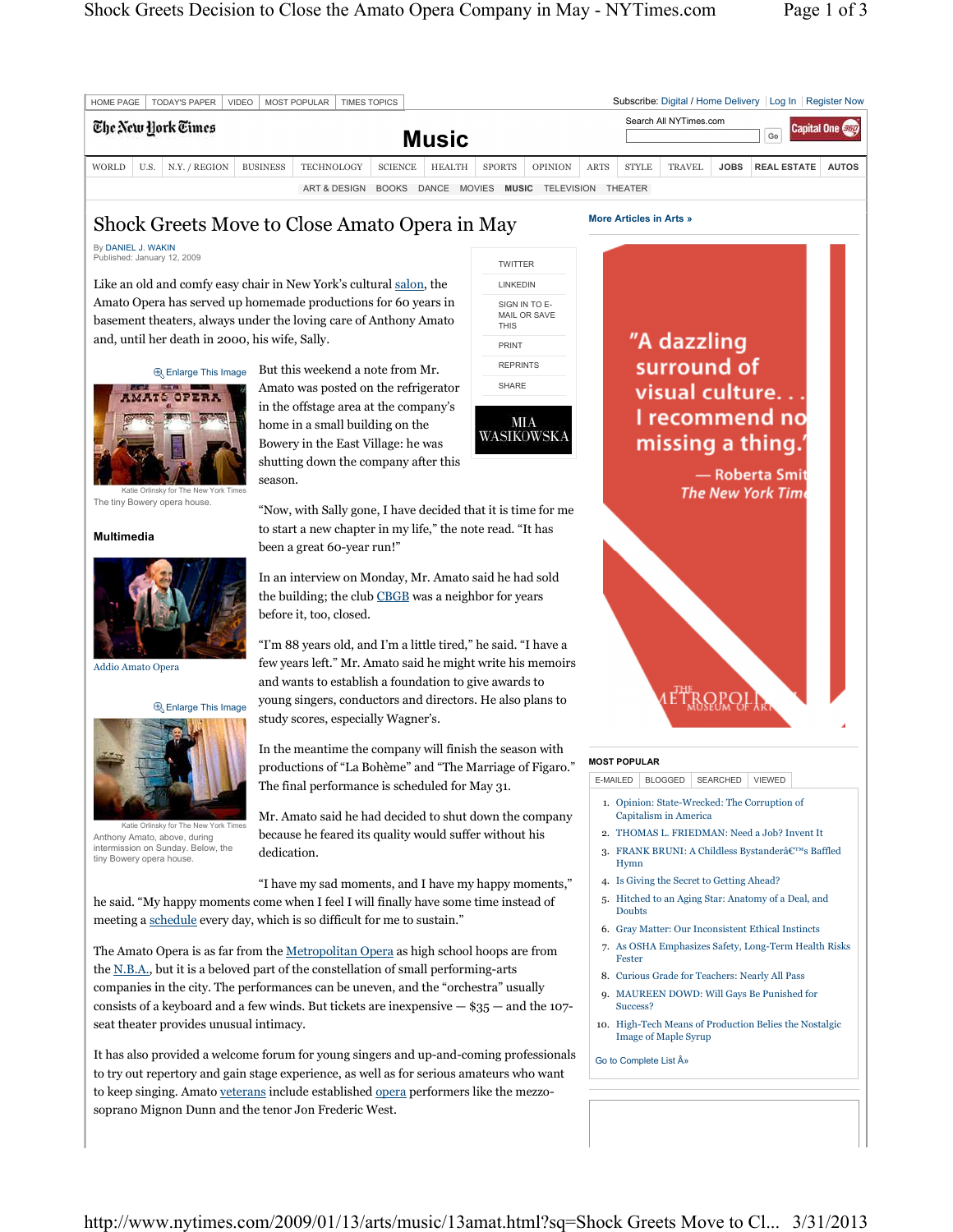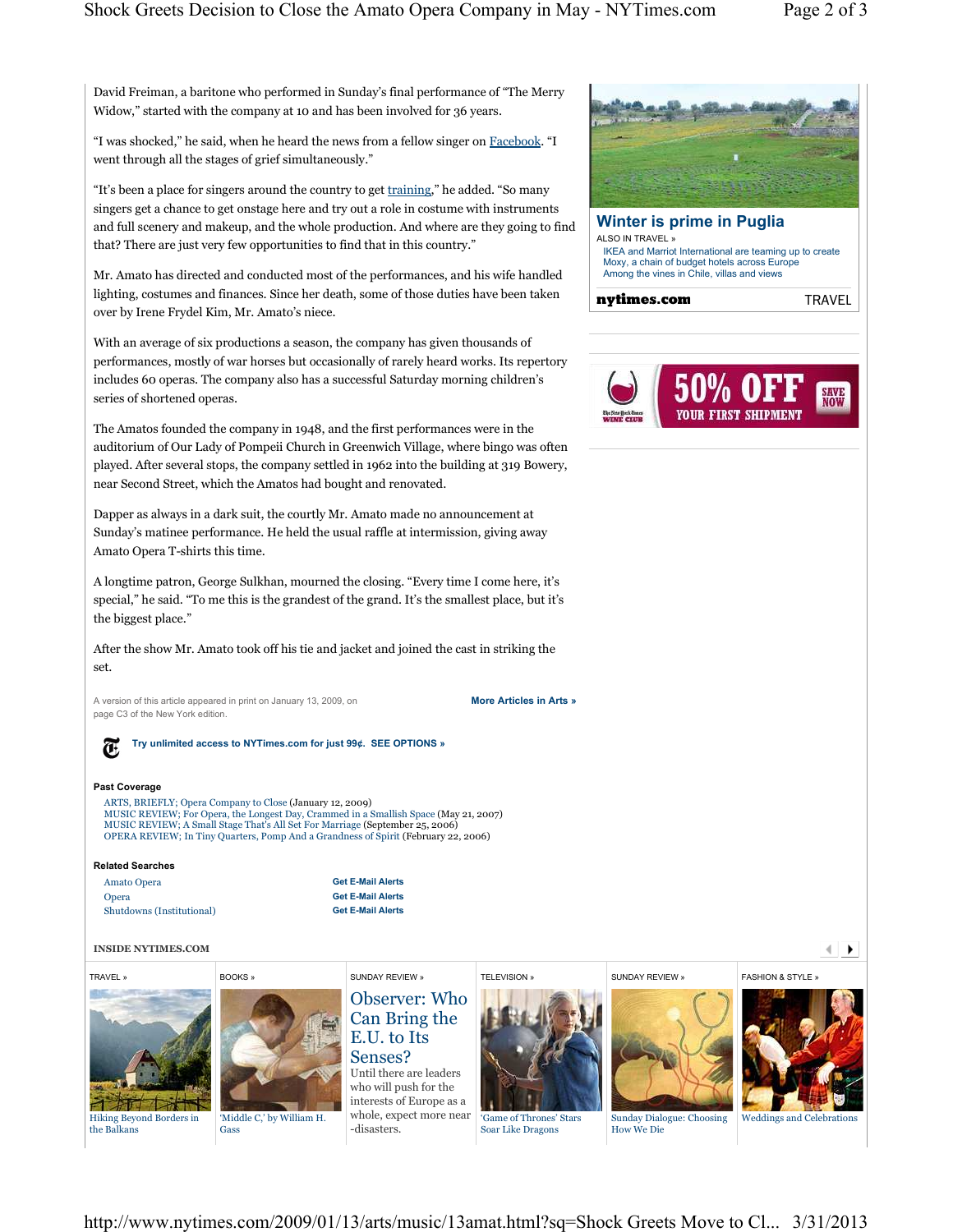**TRAVEL** 

**SAVE**<br>NOW

David Freiman, a baritone who performed in Sunday's final performance of "The Merry Widow," started with the company at 10 and has been involved for 36 years.

"I was shocked," he said, when he heard the news from a fellow singer on Facebook. "I went through all the stages of grief simultaneously."

"It's been a place for singers around the country to get training," he added. "So many singers get a chance to get onstage here and try out a role in costume with instruments and full scenery and makeup, and the whole production. And where are they going to find that? There are just very few opportunities to find that in this country."

Mr. Amato has directed and conducted most of the performances, and his wife handled lighting, costumes and finances. Since her death, some of those duties have been taken over by Irene Frydel Kim, Mr. Amato's niece.

With an average of six productions a season, the company has given thousands of performances, mostly of war horses but occasionally of rarely heard works. Its repertory includes 60 operas. The company also has a successful Saturday morning children's series of shortened operas.

The Amatos founded the company in 1948, and the first performances were in the auditorium of Our Lady of Pompeii Church in Greenwich Village, where bingo was often played. After several stops, the company settled in 1962 into the building at 319 Bowery, near Second Street, which the Amatos had bought and renovated.

Dapper as always in a dark suit, the courtly Mr. Amato made no announcement at Sunday's matinee performance. He held the usual raffle at intermission, giving away Amato Opera T-shirts this time.

A longtime patron, George Sulkhan, mourned the closing. "Every time I come here, it's special," he said. "To me this is the grandest of the grand. It's the smallest place, but it's the biggest place."

After the show Mr. Amato took off his tie and jacket and joined the cast in striking the set.

A version of this article appeared in print on January 13, 2009, on **More Articles in Arts »** page C3 of the New York edition.



**Try unlimited access to NYTimes.com for just 99¢. SEE OPTIONS »**

## **Past Coverage**

ARTS, BRIEFLY; Opera Company to Close (January 12, 2009) MUSIC REVIEW; For Opera, the Longest Day, Crammed in a Smallish Space (May 21, 2007) MUSIC REVIEW; A Small Stage That's All Set For Marriage (September 25, 2006) OPERA REVIEW; In Tiny Quarters, Pomp And a Grandness of Spirit (February 22, 2006)

## **Related Searches**

| Amato Opera               | <b>Get E-Mail Alerts</b> |
|---------------------------|--------------------------|
| Opera                     | <b>Get E-Mail Alerts</b> |
| Shutdowns (Institutional) | <b>Get E-Mail Alerts</b> |

## **INSIDE NYTIMES.COM**



the Balkans



'Middle C,' by William H. Gass



-disasters.

Observer: Who Can Bring the E.U. to Its Senses? Until there are leaders who will push for the interests of Europe as a



**TELEVISION** 



SUNDAY REVIEW »

**Winter is prime in Puglia**

IKEA and Marriot International are teaming up to create Moxy, a chain of budget hotels across Europe Among the vines in Chile, villas and views

ALSO IN TRAVEL »

nytimes.com



'Game of Thrones' Stars Soar Like Dragons

Sunday Dialogue: Choosing How We Die

Weddings and Celebrations

**FASHION & STYLE** 

 $\leftarrow$